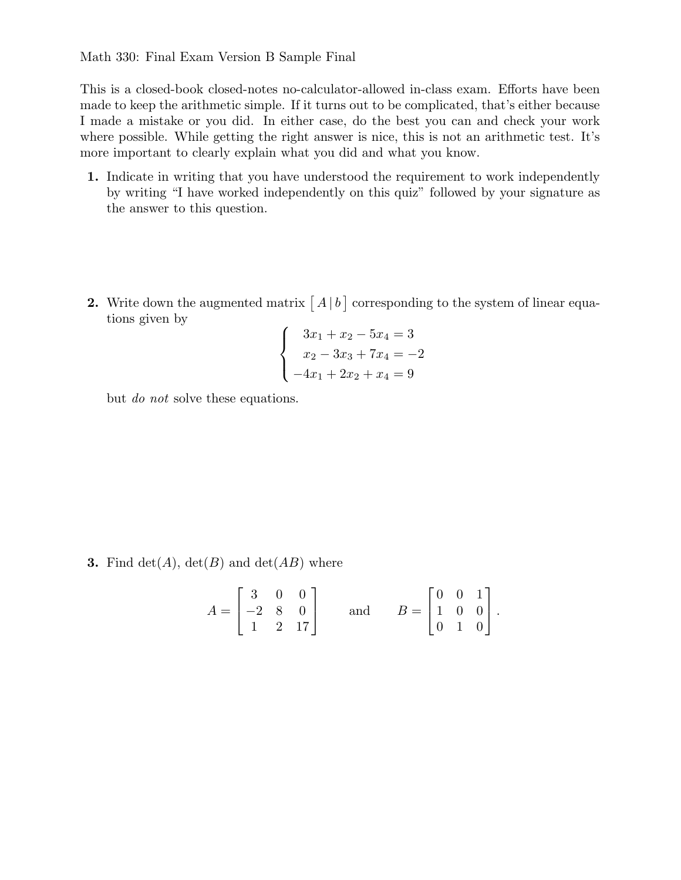This is a closed-book closed-notes no-calculator-allowed in-class exam. Efforts have been made to keep the arithmetic simple. If it turns out to be complicated, that's either because I made a mistake or you did. In either case, do the best you can and check your work where possible. While getting the right answer is nice, this is not an arithmetic test. It's more important to clearly explain what you did and what you know.

- **1.** Indicate in writing that you have understood the requirement to work independently by writing "I have worked independently on this quiz" followed by your signature as the answer to this question.
- **2.** Write down the augmented matrix  $\begin{bmatrix} A \mid b \end{bmatrix}$  corresponding to the system of linear equations given by

$$
\begin{cases}\n3x_1 + x_2 - 5x_4 = 3 \\
x_2 - 3x_3 + 7x_4 = -2 \\
-4x_1 + 2x_2 + x_4 = 9\n\end{cases}
$$

but *do not* solve these equations.

**3.** Find  $det(A)$ ,  $det(B)$  and  $det(AB)$  where

$$
A = \begin{bmatrix} 3 & 0 & 0 \\ -2 & 8 & 0 \\ 1 & 2 & 17 \end{bmatrix} \quad \text{and} \quad B = \begin{bmatrix} 0 & 0 & 1 \\ 1 & 0 & 0 \\ 0 & 1 & 0 \end{bmatrix}.
$$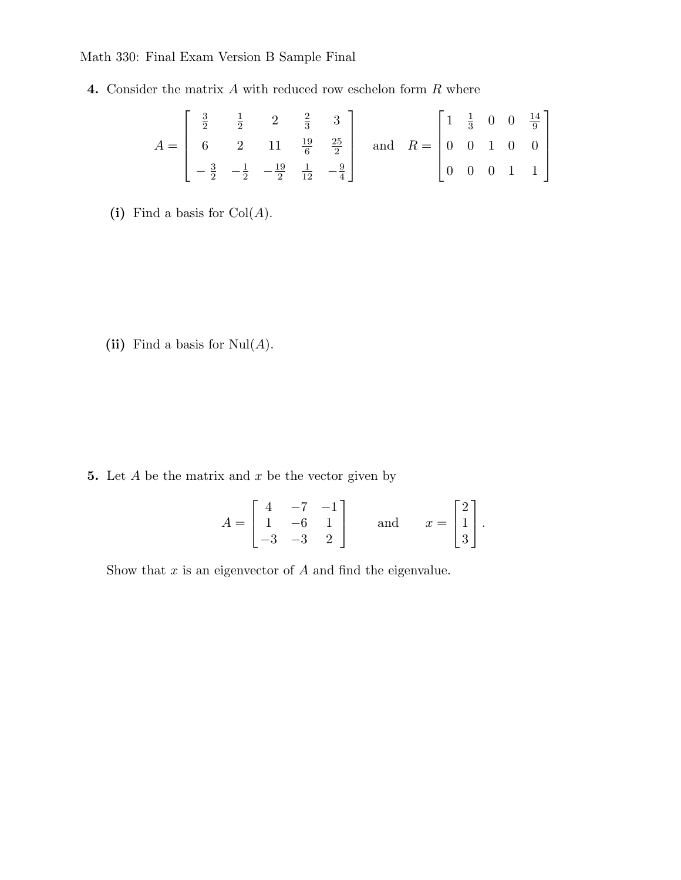**4.** Consider the matrix *A* with reduced row eschelon form *R* where

$$
A = \begin{bmatrix} \frac{3}{2} & \frac{1}{2} & 2 & \frac{2}{3} & 3 \\ 6 & 2 & 11 & \frac{19}{6} & \frac{25}{2} \\ -\frac{3}{2} & -\frac{1}{2} & -\frac{19}{2} & \frac{1}{12} & -\frac{9}{4} \end{bmatrix} \text{ and } R = \begin{bmatrix} 1 & \frac{1}{3} & 0 & 0 & \frac{14}{9} \\ 0 & 0 & 1 & 0 & 0 \\ 0 & 0 & 0 & 1 & 1 \end{bmatrix}
$$

 $\overline{a}$ 

(i) Find a basis for  $Col(A)$ .

(ii) Find a basis for  $\text{Nul}(A)$ .

**5.** Let *A* be the matrix and *x* be the vector given by

$$
A = \begin{bmatrix} 4 & -7 & -1 \\ 1 & -6 & 1 \\ -3 & -3 & 2 \end{bmatrix} \quad \text{and} \quad x = \begin{bmatrix} 2 \\ 1 \\ 3 \end{bmatrix}.
$$

Show that *x* is an eigenvector of *A* and find the eigenvalue.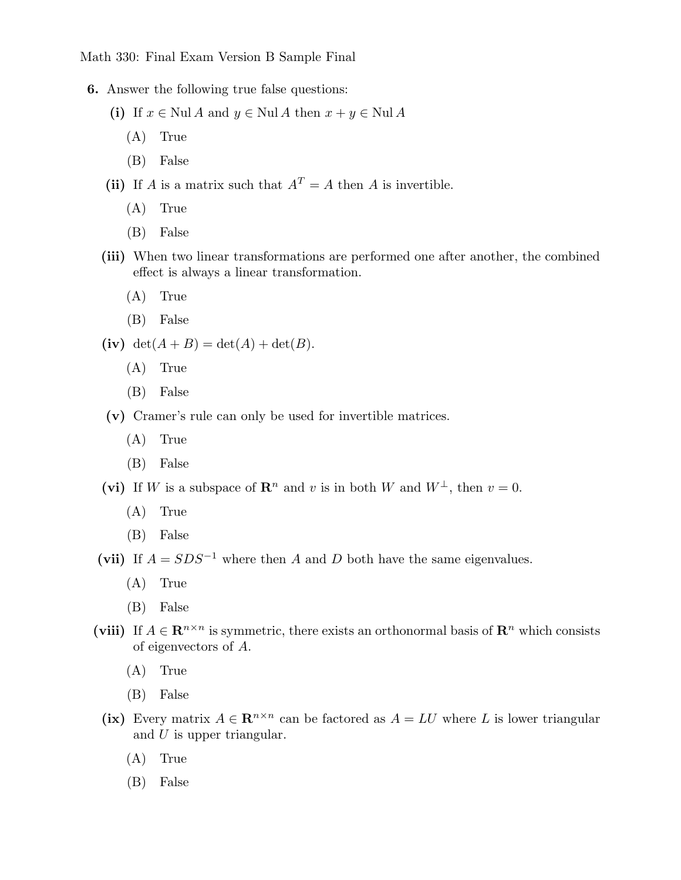- **6.** Answer the following true false questions:
	- (i) If  $x \in \text{Nul } A$  and  $y \in \text{Nul } A$  then  $x + y \in \text{Nul } A$ 
		- (A) True
		- (B) False
	- (ii) If *A* is a matrix such that  $A^T = A$  then *A* is invertible.
		- (A) True
		- (B) False
	- **(iii)** When two linear transformations are performed one after another, the combined effect is always a linear transformation.
		- (A) True
		- (B) False

(iv) 
$$
\det(A + B) = \det(A) + \det(B)
$$
.

- (A) True
- (B) False
- **(v)** Cramer's rule can only be used for invertible matrices.
	- (A) True
	- (B) False

(vi) If *W* is a subspace of  $\mathbb{R}^n$  and *v* is in both *W* and  $W^{\perp}$ , then  $v = 0$ .

- (A) True
- (B) False
- (vii) If  $A = SDS^{-1}$  where then *A* and *D* both have the same eigenvalues.
	- (A) True
	- (B) False
- (viii) If  $A \in \mathbb{R}^{n \times n}$  is symmetric, there exists an orthonormal basis of  $\mathbb{R}^n$  which consists of eigenvectors of *A*.
	- (A) True
	- (B) False
	- (ix) Every matrix  $A \in \mathbb{R}^{n \times n}$  can be factored as  $A = LU$  where *L* is lower triangular and *U* is upper triangular.
		- (A) True
		- (B) False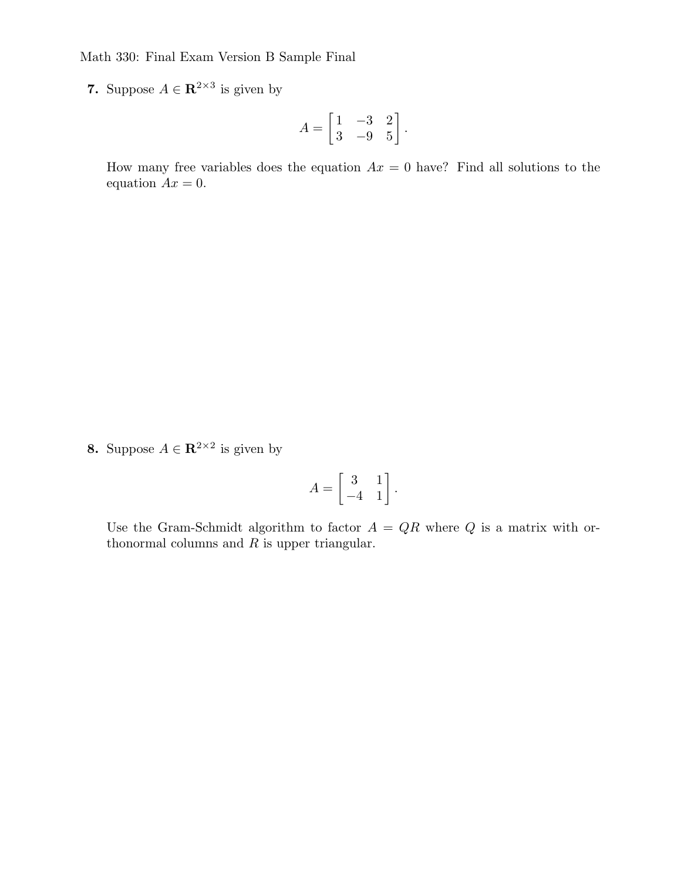**7.** Suppose  $A \in \mathbb{R}^{2 \times 3}$  is given by

$$
A = \begin{bmatrix} 1 & -3 & 2 \\ 3 & -9 & 5 \end{bmatrix}.
$$

How many free variables does the equation  $Ax = 0$  have? Find all solutions to the equation  $Ax = 0$ .

**8.** Suppose  $A \in \mathbb{R}^{2 \times 2}$  is given by

$$
A = \begin{bmatrix} 3 & 1 \\ -4 & 1 \end{bmatrix}.
$$

Use the Gram-Schmidt algorithm to factor  $A = QR$  where  $Q$  is a matrix with orthonormal columns and *R* is upper triangular.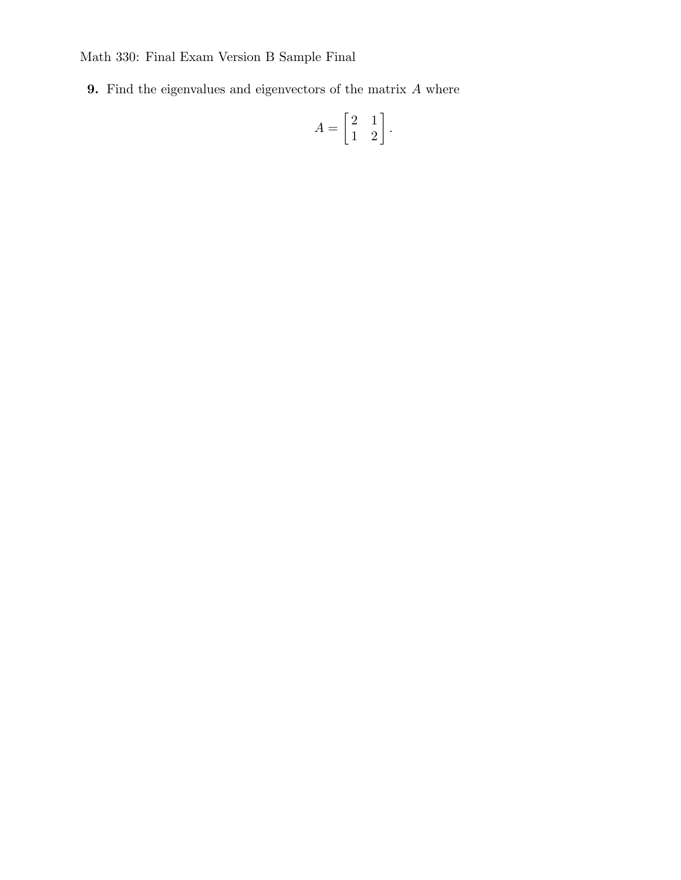**9.** Find the eigenvalues and eigenvectors of the matrix *A* where

$$
A = \begin{bmatrix} 2 & 1 \\ 1 & 2 \end{bmatrix}.
$$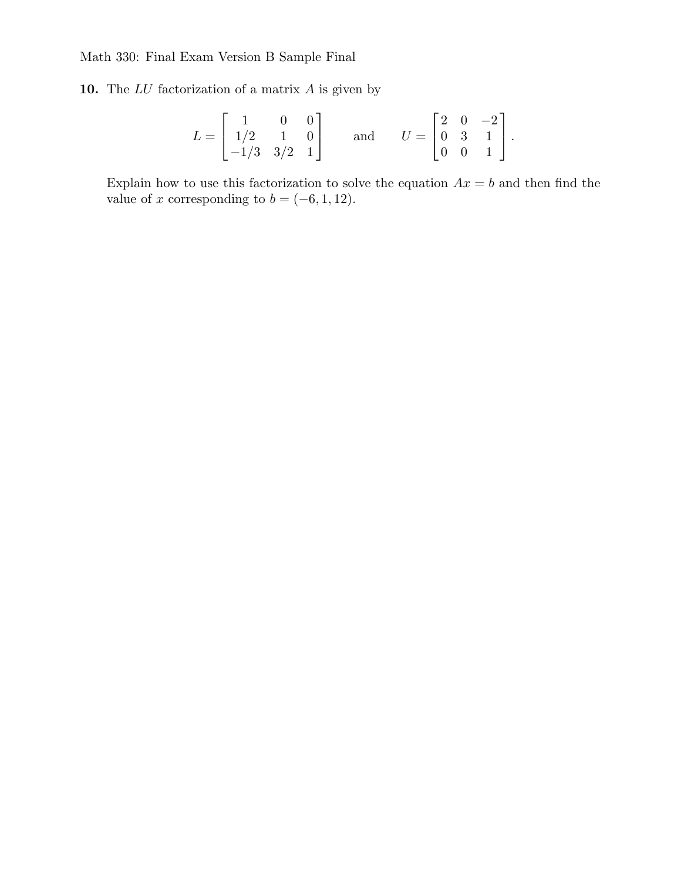**10.** The *LU* factorization of a matrix *A* is given by

$$
L = \begin{bmatrix} 1 & 0 & 0 \\ 1/2 & 1 & 0 \\ -1/3 & 3/2 & 1 \end{bmatrix} \quad \text{and} \quad U = \begin{bmatrix} 2 & 0 & -2 \\ 0 & 3 & 1 \\ 0 & 0 & 1 \end{bmatrix}.
$$

Explain how to use this factorization to solve the equation  $Ax = b$  and then find the value of *x* corresponding to  $b = (-6, 1, 12)$ .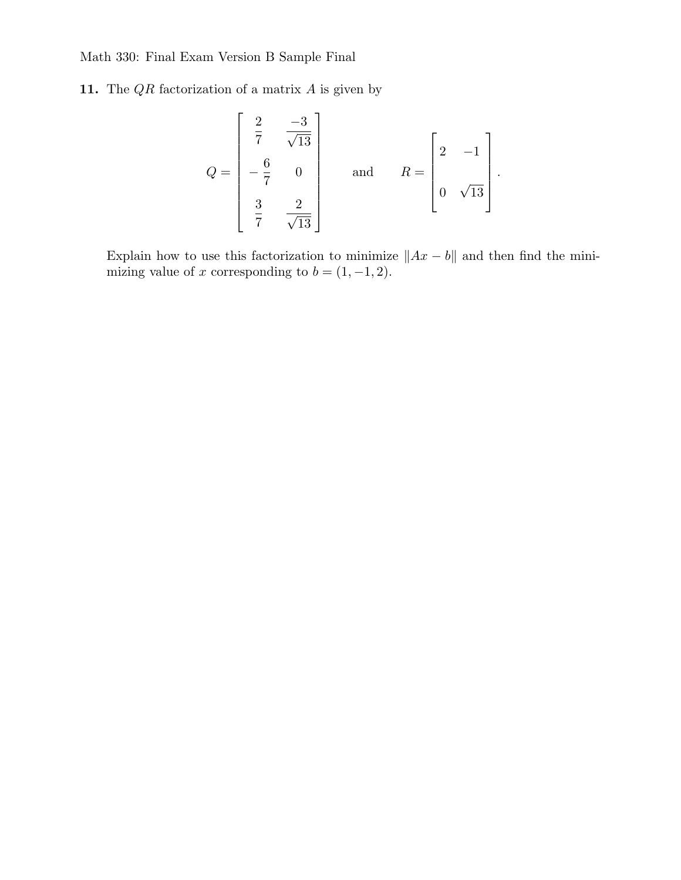**11.** The *QR* factorization of a matrix *A* is given by

$$
Q = \begin{bmatrix} \frac{2}{7} & \frac{-3}{\sqrt{13}} \\ -\frac{6}{7} & 0 \\ \frac{3}{7} & \frac{2}{\sqrt{13}} \end{bmatrix} \quad \text{and} \quad R = \begin{bmatrix} 2 & -1 \\ 0 & \sqrt{13} \end{bmatrix}.
$$

Explain how to use this factorization to minimize  $||Ax - b||$  and then find the minimizing value of *x* corresponding to  $b = (1, -1, 2)$ .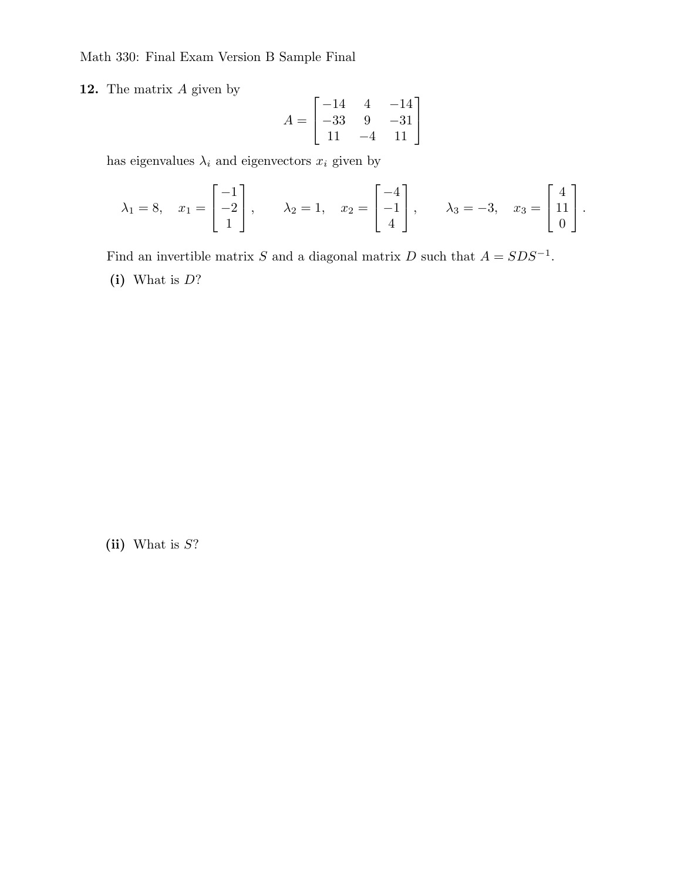**12.** The matrix *A* given by

$$
A = \begin{bmatrix} -14 & 4 & -14 \\ -33 & 9 & -31 \\ 11 & -4 & 11 \end{bmatrix}
$$

has eigenvalues  $\lambda_i$  and eigenvectors  $x_i$  given by

$$
\lambda_1 = 8, \quad x_1 = \begin{bmatrix} -1 \\ -2 \\ 1 \end{bmatrix}, \qquad \lambda_2 = 1, \quad x_2 = \begin{bmatrix} -4 \\ -1 \\ 4 \end{bmatrix}, \qquad \lambda_3 = -3, \quad x_3 = \begin{bmatrix} 4 \\ 11 \\ 0 \end{bmatrix}.
$$

Find an invertible matrix *S* and a diagonal matrix *D* such that  $A = SDS^{-1}$ .

**(i)** What is *D*?

**(ii)** What is *S*?